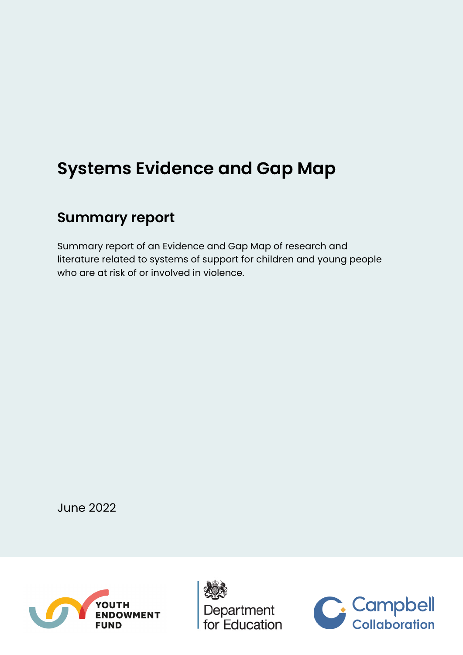# **Systems Evidence and Gap Map**

## **Summary report**

Summary report of an Evidence and Gap Map of research and literature related to systems of support for children and young people who are at risk of or involved in violence.

June 2022





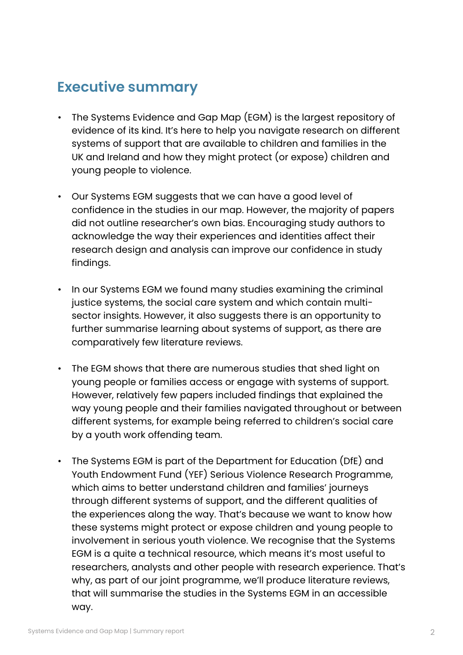## **Executive summary**

- The Systems Evidence and Gap Map (EGM) is the largest repository of evidence of its kind. It's here to help you navigate research on different systems of support that are available to children and families in the UK and Ireland and how they might protect (or expose) children and young people to violence.
- Our Systems EGM suggests that we can have a good level of confidence in the studies in our map. However, the majority of papers did not outline researcher's own bias. Encouraging study authors to acknowledge the way their experiences and identities affect their research design and analysis can improve our confidence in study findings.
- In our Systems EGM we found many studies examining the criminal justice systems, the social care system and which contain multisector insights. However, it also suggests there is an opportunity to further summarise learning about systems of support, as there are comparatively few literature reviews.
- The EGM shows that there are numerous studies that shed light on young people or families access or engage with systems of support. However, relatively few papers included findings that explained the way young people and their families navigated throughout or between different systems, for example being referred to children's social care by a youth work offending team.
- The Systems EGM is part of the Department for Education (DfE) and Youth Endowment Fund (YEF) Serious Violence Research Programme, which aims to better understand children and families' journeys through different systems of support, and the different qualities of the experiences along the way. That's because we want to know how these systems might protect or expose children and young people to involvement in serious youth violence. We recognise that the Systems EGM is a quite a technical resource, which means it's most useful to researchers, analysts and other people with research experience. That's why, as part of our joint programme, we'll produce literature reviews, that will summarise the studies in the Systems EGM in an accessible way.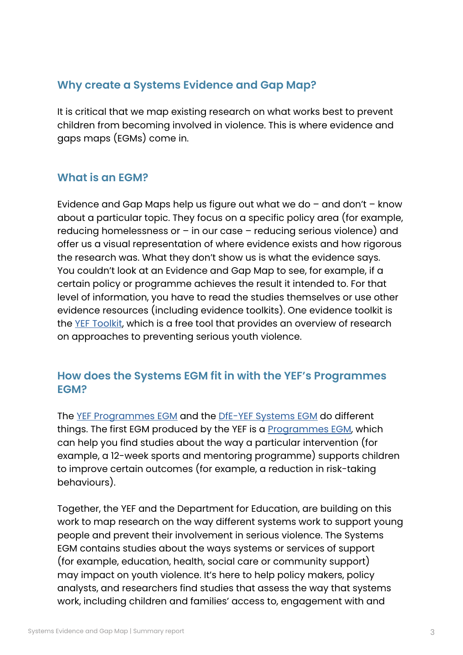## **Why create a Systems Evidence and Gap Map?**

It is critical that we map existing research on what works best to prevent children from becoming involved in violence. This is where evidence and gaps maps (EGMs) come in.

## **What is an EGM?**

Evidence and Gap Maps help us figure out what we do  $-$  and don't  $-$  know about a particular topic. They focus on a specific policy area (for example, reducing homelessness or – in our case – reducing serious violence) and offer us a visual representation of where evidence exists and how rigorous the research was. What they don't show us is what the evidence says. You couldn't look at an Evidence and Gap Map to see, for example, if a certain policy or programme achieves the result it intended to. For that level of information, you have to read the studies themselves or use other evidence resources (including evidence toolkits). One evidence toolkit is the [YEF Toolkit](https://youthendowmentfund.org.uk/toolkit/), which is a free tool that provides an overview of research on approaches to preventing serious youth violence.

## **How does the Systems EGM fit in with the YEF's Programmes EGM?**

The [YEF Programmes EGM](https://youthendowmentfund.org.uk/programmes-evidence-and-gap-map/) and the [DfE-YEF Systems EGM](https://youthendowmentfund.org.uk/wp-content/uploads/2022/05/Systems-EGM.html) do different things. The first EGM produced by the YEF is a [Programmes EGM,](https://youthendowmentfund.org.uk/programmes-evidence-and-gap-map/) which can help you find studies about the way a particular intervention (for example, a 12-week sports and mentoring programme) supports children to improve certain outcomes (for example, a reduction in risk-taking behaviours).

Together, the YEF and the Department for Education, are building on this work to map research on the way different systems work to support young people and prevent their involvement in serious violence. The Systems EGM contains studies about the ways systems or services of support (for example, education, health, social care or community support) may impact on youth violence. It's here to help policy makers, policy analysts, and researchers find studies that assess the way that systems work, including children and families' access to, engagement with and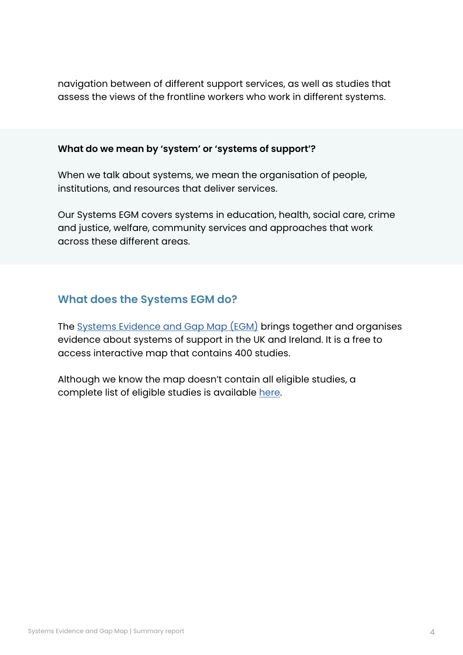navigation between of different support services, as well as studies that assess the views of the frontline workers who work in different systems.

#### **What do we mean by 'system' or 'systems of support'?**

When we talk about systems, we mean the organisation of people, institutions, and resources that deliver services.

Our Systems EGM covers systems in education, health, social care, crime and justice, welfare, community services and approaches that work across these different areas.

## **What does the Systems EGM do?**

The [Systems Evidence and Gap Map \(EGM\)](https://youthendowmentfund.org.uk/wp-content/uploads/2022/05/Systems-EGM.html) brings together and organises evidence about systems of support in the UK and Ireland. It is a free to access interactive map that contains 400 studies.

Although we know the map doesn't contain all eligible studies, a complete list of eligible studies is available [here](https://youthendowmentfund.org.uk/wp-content/uploads/2022/05/Systems-EGM-List-of-studies.xlsx).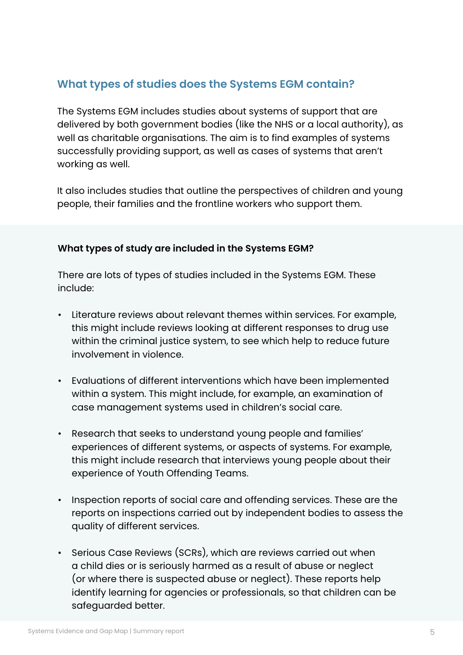## **What types of studies does the Systems EGM contain?**

The Systems EGM includes studies about systems of support that are delivered by both government bodies (like the NHS or a local authority), as well as charitable organisations. The aim is to find examples of systems successfully providing support, as well as cases of systems that aren't working as well.

It also includes studies that outline the perspectives of children and young people, their families and the frontline workers who support them.

#### **What types of study are included in the Systems EGM?**

There are lots of types of studies included in the Systems EGM. These include:

- Literature reviews about relevant themes within services. For example, this might include reviews looking at different responses to drug use within the criminal justice system, to see which help to reduce future involvement in violence.
- Evaluations of different interventions which have been implemented within a system. This might include, for example, an examination of case management systems used in children's social care.
- Research that seeks to understand young people and families' experiences of different systems, or aspects of systems. For example, this might include research that interviews young people about their experience of Youth Offending Teams.
- Inspection reports of social care and offending services. These are the reports on inspections carried out by independent bodies to assess the quality of different services.
- Serious Case Reviews (SCRs), which are reviews carried out when a child dies or is seriously harmed as a result of abuse or neglect (or where there is suspected abuse or neglect). These reports help identify learning for agencies or professionals, so that children can be safeguarded better.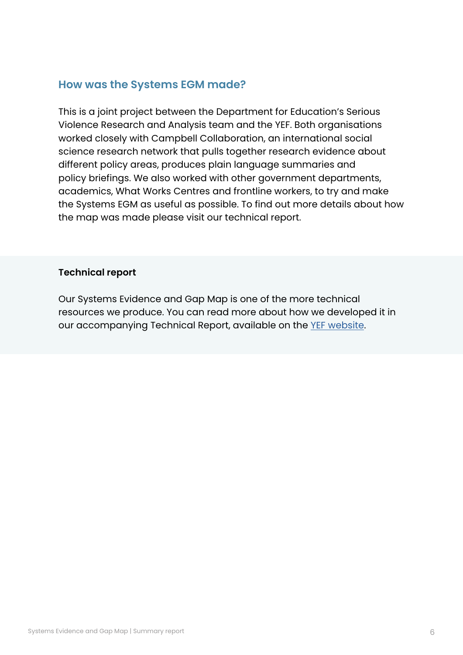## **How was the Systems EGM made?**

This is a joint project between the Department for Education's Serious Violence Research and Analysis team and the YEF. Both organisations worked closely with Campbell Collaboration, an international social science research network that pulls together research evidence about different policy areas, produces plain language summaries and policy briefings. We also worked with other government departments, academics, What Works Centres and frontline workers, to try and make the Systems EGM as useful as possible. To find out more details about how the map was made please visit our technical report.

#### **Technical report**

Our Systems Evidence and Gap Map is one of the more technical resources we produce. You can read more about how we developed it in our accompanying Technical Report, available on the [YEF website](https://youthendowmentfund.org.uk/systems-evidence-and-gap-map/).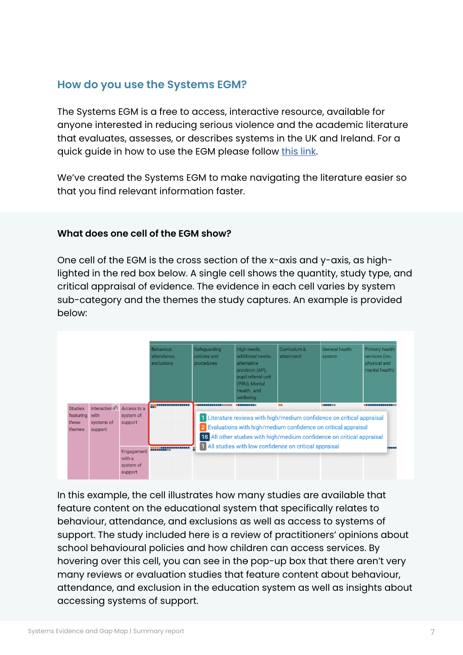## **How do you use the Systems EGM?**

The Systems EGM is a free to access, interactive resource, available for anyone interested in reducing serious violence and the academic literature that evaluates, assesses, or describes systems in the UK and Ireland. For a quick guide in how to use the EGM please follow [this link](https://youthendowmentfund.org.uk/how-to-use-the-systems-evidence-and-gap-map/).

We've created the Systems EGM to make navigating the literature easier so that you find relevant information faster.

#### **What does one cell of the EGM show?**

One cell of the EGM is the cross section of the x-axis and y-axis, as highlighted in the red box below. A single cell shows the quantity, study type, and critical appraisal of evidence. The evidence in each cell varies by system sub-category and the themes the study captures. An example is provided below:



In this example, the cell illustrates how many studies are available that feature content on the educational system that specifically relates to behaviour, attendance, and exclusions as well as access to systems of support. The study included here is a review of practitioners' opinions about school behavioural policies and how children can access services. By hovering over this cell, you can see in the pop-up box that there aren't very many reviews or evaluation studies that feature content about behaviour, attendance, and exclusion in the education system as well as insights about accessing systems of support.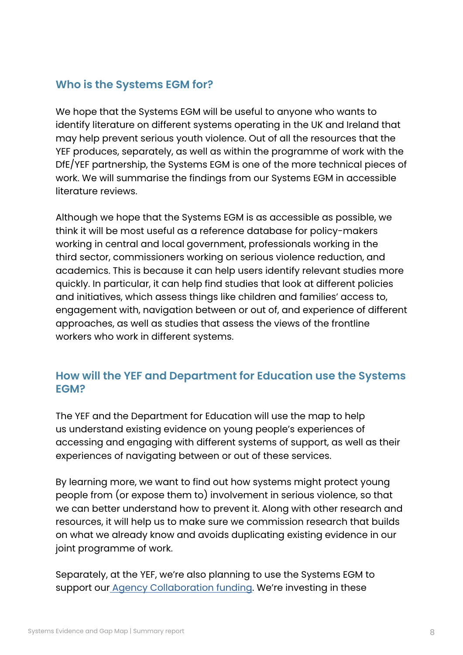## **Who is the Systems EGM for?**

We hope that the Systems EGM will be useful to anyone who wants to identify literature on different systems operating in the UK and Ireland that may help prevent serious youth violence. Out of all the resources that the YEF produces, separately, as well as within the programme of work with the DfE/YEF partnership, the Systems EGM is one of the more technical pieces of work. We will summarise the findings from our Systems EGM in accessible literature reviews.

Although we hope that the Systems EGM is as accessible as possible, we think it will be most useful as a reference database for policy-makers working in central and local government, professionals working in the third sector, commissioners working on serious violence reduction, and academics. This is because it can help users identify relevant studies more quickly. In particular, it can help find studies that look at different policies and initiatives, which assess things like children and families' access to, engagement with, navigation between or out of, and experience of different approaches, as well as studies that assess the views of the frontline workers who work in different systems.

## **How will the YEF and Department for Education use the Systems EGM?**

The YEF and the Department for Education will use the map to help us understand existing evidence on young people's experiences of accessing and engaging with different systems of support, as well as their experiences of navigating between or out of these services.

By learning more, we want to find out how systems might protect young people from (or expose them to) involvement in serious violence, so that we can better understand how to prevent it. Along with other research and resources, it will help us to make sure we commission research that builds on what we already know and avoids duplicating existing evidence in our joint programme of work.

Separately, at the YEF, we're also planning to use the Systems EGM to support our **Agency Collaboration funding**. We're investing in these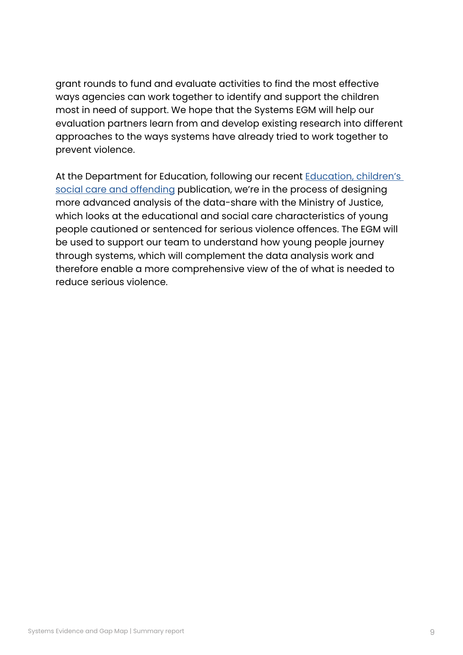grant rounds to fund and evaluate activities to find the most effective ways agencies can work together to identify and support the children most in need of support. We hope that the Systems EGM will help our evaluation partners learn from and develop existing research into different approaches to the ways systems have already tried to work together to prevent violence.

At the Department for Education, following our recent Education, children's [social care and offending](https://www.gov.uk/government/publications/education-childrens-social-care-and-offending) publication, we're in the process of designing more advanced analysis of the data-share with the Ministry of Justice, which looks at the educational and social care characteristics of young people cautioned or sentenced for serious violence offences. The EGM will be used to support our team to understand how young people journey through systems, which will complement the data analysis work and therefore enable a more comprehensive view of the of what is needed to reduce serious violence.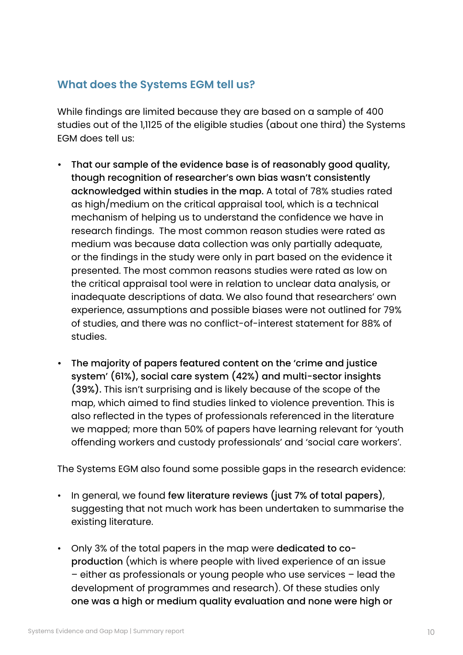## **What does the Systems EGM tell us?**

While findings are limited because they are based on a sample of 400 studies out of the 1,1125 of the eligible studies (about one third) the Systems EGM does tell us:

- That our sample of the evidence base is of reasonably good quality, though recognition of researcher's own bias wasn't consistently acknowledged within studies in the map. A total of 78% studies rated as high/medium on the critical appraisal tool, which is a technical mechanism of helping us to understand the confidence we have in research findings. The most common reason studies were rated as medium was because data collection was only partially adequate, or the findings in the study were only in part based on the evidence it presented. The most common reasons studies were rated as low on the critical appraisal tool were in relation to unclear data analysis, or inadequate descriptions of data. We also found that researchers' own experience, assumptions and possible biases were not outlined for 79% of studies, and there was no conflict-of-interest statement for 88% of studies.
- The majority of papers featured content on the 'crime and justice system' (61%), social care system (42%) and multi-sector insights (39%). This isn't surprising and is likely because of the scope of the map, which aimed to find studies linked to violence prevention. This is also reflected in the types of professionals referenced in the literature we mapped; more than 50% of papers have learning relevant for 'youth offending workers and custody professionals' and 'social care workers'.

The Systems EGM also found some possible gaps in the research evidence:

- In general, we found few literature reviews (just 7% of total papers), suggesting that not much work has been undertaken to summarise the existing literature.
- Only 3% of the total papers in the map were dedicated to coproduction (which is where people with lived experience of an issue – either as professionals or young people who use services – lead the development of programmes and research). Of these studies only one was a high or medium quality evaluation and none were high or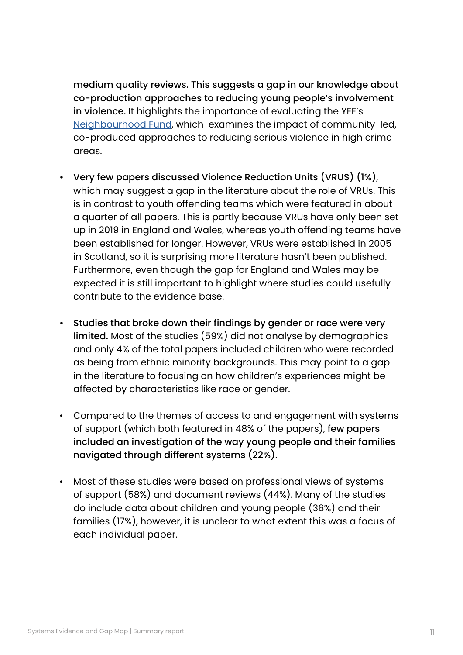medium quality reviews. This suggests a gap in our knowledge about co-production approaches to reducing young people's involvement in violence. It highlights the importance of evaluating the YEF's [Neighbourhood Fund,](https://youthendowmentfund.org.uk/grants/neighbourhood-fund/) which examines the impact of community-led, co-produced approaches to reducing serious violence in high crime areas.

- Very few papers discussed Violence Reduction Units (VRUS) (1%), which may suggest a gap in the literature about the role of VRUs. This is in contrast to youth offending teams which were featured in about a quarter of all papers. This is partly because VRUs have only been set up in 2019 in England and Wales, whereas youth offending teams have been established for longer. However, VRUs were established in 2005 in Scotland, so it is surprising more literature hasn't been published. Furthermore, even though the gap for England and Wales may be expected it is still important to highlight where studies could usefully contribute to the evidence base.
- Studies that broke down their findings by gender or race were very limited. Most of the studies (59%) did not analyse by demographics and only 4% of the total papers included children who were recorded as being from ethnic minority backgrounds. This may point to a gap in the literature to focusing on how children's experiences might be affected by characteristics like race or gender.
- Compared to the themes of access to and engagement with systems of support (which both featured in 48% of the papers), few papers included an investigation of the way young people and their families navigated through different systems (22%).
- Most of these studies were based on professional views of systems of support (58%) and document reviews (44%). Many of the studies do include data about children and young people (36%) and their families (17%), however, it is unclear to what extent this was a focus of each individual paper.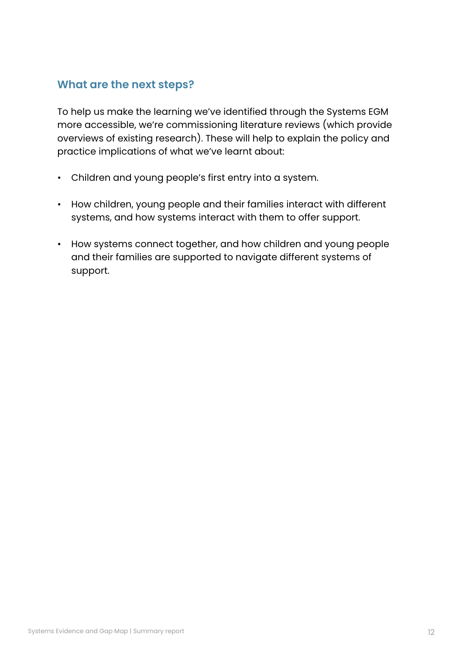## **What are the next steps?**

To help us make the learning we've identified through the Systems EGM more accessible, we're commissioning literature reviews (which provide overviews of existing research). These will help to explain the policy and practice implications of what we've learnt about:

- Children and young people's first entry into a system.
- How children, young people and their families interact with different systems, and how systems interact with them to offer support.
- How systems connect together, and how children and young people and their families are supported to navigate different systems of support.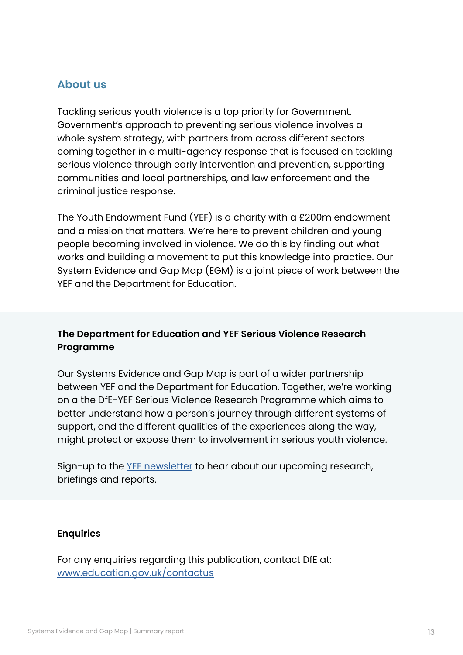### **About us**

Tackling serious youth violence is a top priority for Government. Government's approach to preventing serious violence involves a whole system strategy, with partners from across different sectors coming together in a multi-agency response that is focused on tackling serious violence through early intervention and prevention, supporting communities and local partnerships, and law enforcement and the criminal justice response.

The Youth Endowment Fund (YEF) is a charity with a £200m endowment and a mission that matters. We're here to prevent children and young people becoming involved in violence. We do this by finding out what works and building a movement to put this knowledge into practice. Our System Evidence and Gap Map (EGM) is a joint piece of work between the YEF and the Department for Education.

### **The Department for Education and YEF Serious Violence Research Programme**

Our Systems Evidence and Gap Map is part of a wider partnership between YEF and the Department for Education. Together, we're working on a the DfE-YEF Serious Violence Research Programme which aims to better understand how a person's journey through different systems of support, and the different qualities of the experiences along the way, might protect or expose them to involvement in serious youth violence.

Sign-up to the [YEF newsletter](https://youthendowmentfund.org.uk/newsletter/) to hear about our upcoming research, briefings and reports.

#### **Enquiries**

For any enquiries regarding this publication, contact DfE at: [www.education.gov.uk/contactus](http://www.education.gov.uk/contactus)